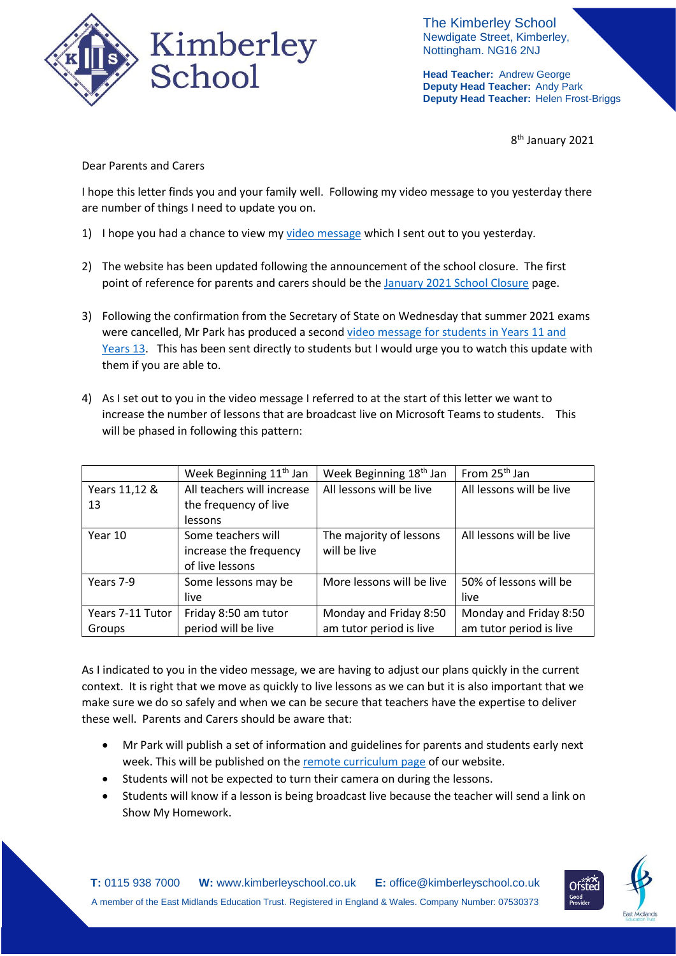

The Kimberley School Newdigate Street, Kimberley, Nottingham. NG16 2NJ

**Head Teacher:** Andrew George **Deputy Head Teacher:** Andy Park **Deputy Head Teacher:** Helen Frost-Briggs

8 th January 2021

Dear Parents and Carers

I hope this letter finds you and your family well. Following my video message to you yesterday there are number of things I need to update you on.

- 1) I hope you had a chance to view my [video message](https://www.kimberleyschool.co.uk/copy-of-student-notices) which I sent out to you yesterday.
- 2) The website has been updated following the announcement of the school closure. The first point of reference for parents and carers should be th[e January 2021 School Closure](https://www.kimberleyschool.co.uk/january2021) page.
- 3) Following the confirmation from the Secretary of State on Wednesday that summer 2021 exams were cancelled, Mr Park has produced a secon[d video message for students in Years 11 and](https://www.kimberleyschool.co.uk/notices)  [Years 13.](https://www.kimberleyschool.co.uk/notices) This has been sent directly to students but I would urge you to watch this update with them if you are able to.
- 4) As I set out to you in the video message I referred to at the start of this letter we want to increase the number of lessons that are broadcast live on Microsoft Teams to students. This will be phased in following this pattern:

|                  | Week Beginning 11 <sup>th</sup> Jan | Week Beginning 18 <sup>th</sup> Jan | From 25 <sup>th</sup> Jan |
|------------------|-------------------------------------|-------------------------------------|---------------------------|
| Years 11,12 &    | All teachers will increase          | All lessons will be live            | All lessons will be live  |
| 13               | the frequency of live               |                                     |                           |
|                  | lessons                             |                                     |                           |
| Year 10          | Some teachers will                  | The majority of lessons             | All lessons will be live  |
|                  | increase the frequency              | will be live                        |                           |
|                  | of live lessons                     |                                     |                           |
| Years 7-9        | Some lessons may be                 | More lessons will be live           | 50% of lessons will be    |
|                  | live                                |                                     | live                      |
| Years 7-11 Tutor | Friday 8:50 am tutor                | Monday and Friday 8:50              | Monday and Friday 8:50    |
| Groups           | period will be live                 | am tutor period is live             | am tutor period is live   |

As I indicated to you in the video message, we are having to adjust our plans quickly in the current context. It is right that we move as quickly to live lessons as we can but it is also important that we make sure we do so safely and when we can be secure that teachers have the expertise to deliver these well. Parents and Carers should be aware that:

- Mr Park will publish a set of information and guidelines for parents and students early next week. This will be published on the [remote curriculum page](https://www.kimberleyschool.co.uk/remotecurriculum) of our website.
- Students will not be expected to turn their camera on during the lessons.
- Students will know if a lesson is being broadcast live because the teacher will send a link on Show My Homework.